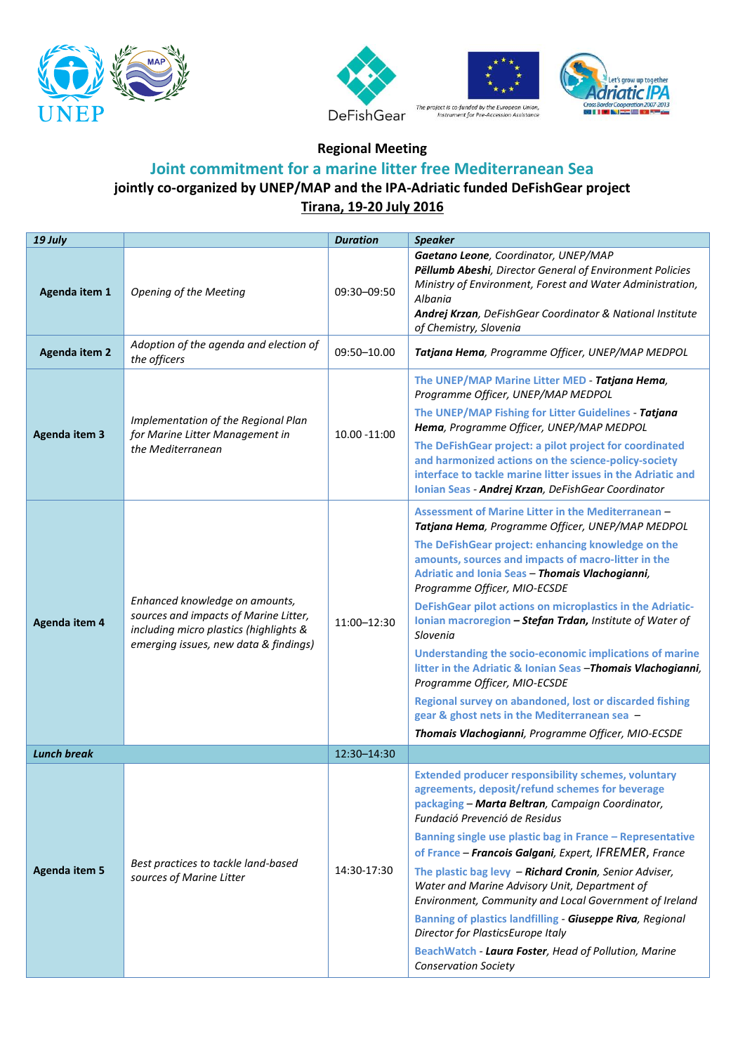







**Regional Meeting**

## **Joint commitment for a marine litter free Mediterranean Sea jointly co-organized by UNEP/MAP and the IPA-Adriatic funded DeFishGear project Tirana, 19-20 July 2016**

| 19 July              |                                                                                                                                                            | <b>Duration</b> | <b>Speaker</b>                                                                                                                                                                                                                                                                                                                                                                                                                                                                                                                                                                                                                                                                                                                                                           |
|----------------------|------------------------------------------------------------------------------------------------------------------------------------------------------------|-----------------|--------------------------------------------------------------------------------------------------------------------------------------------------------------------------------------------------------------------------------------------------------------------------------------------------------------------------------------------------------------------------------------------------------------------------------------------------------------------------------------------------------------------------------------------------------------------------------------------------------------------------------------------------------------------------------------------------------------------------------------------------------------------------|
| Agenda item 1        | <b>Opening of the Meeting</b>                                                                                                                              | 09:30-09:50     | Gaetano Leone, Coordinator, UNEP/MAP<br>Pëllumb Abeshi, Director General of Environment Policies<br>Ministry of Environment, Forest and Water Administration,<br>Albania<br>Andrej Krzan, DeFishGear Coordinator & National Institute<br>of Chemistry, Slovenia                                                                                                                                                                                                                                                                                                                                                                                                                                                                                                          |
| <b>Agenda item 2</b> | Adoption of the agenda and election of<br>the officers                                                                                                     | 09:50-10.00     | Tatjana Hema, Programme Officer, UNEP/MAP MEDPOL                                                                                                                                                                                                                                                                                                                                                                                                                                                                                                                                                                                                                                                                                                                         |
| <b>Agenda item 3</b> | Implementation of the Regional Plan<br>for Marine Litter Management in<br>the Mediterranean                                                                | 10.00 - 11:00   | The UNEP/MAP Marine Litter MED - Tatjana Hema,<br>Programme Officer, UNEP/MAP MEDPOL<br>The UNEP/MAP Fishing for Litter Guidelines - Tatjana<br>Hema, Programme Officer, UNEP/MAP MEDPOL<br>The DeFishGear project: a pilot project for coordinated<br>and harmonized actions on the science-policy-society<br>interface to tackle marine litter issues in the Adriatic and<br>Ionian Seas - Andrej Krzan, DeFishGear Coordinator                                                                                                                                                                                                                                                                                                                                        |
| Agenda item 4        | Enhanced knowledge on amounts,<br>sources and impacts of Marine Litter,<br>including micro plastics (highlights &<br>emerging issues, new data & findings) | 11:00-12:30     | Assessment of Marine Litter in the Mediterranean -<br>Tatjana Hema, Programme Officer, UNEP/MAP MEDPOL<br>The DeFishGear project: enhancing knowledge on the<br>amounts, sources and impacts of macro-litter in the<br>Adriatic and Ionia Seas - Thomais Vlachogianni,<br>Programme Officer, MIO-ECSDE<br>DeFishGear pilot actions on microplastics in the Adriatic-<br>Ionian macroregion - Stefan Trdan, Institute of Water of<br>Slovenia<br>Understanding the socio-economic implications of marine<br>litter in the Adriatic & Ionian Seas - Thomais Vlachogianni,<br>Programme Officer, MIO-ECSDE<br>Regional survey on abandoned, lost or discarded fishing<br>gear & ghost nets in the Mediterranean sea -<br>Thomais Vlachogianni, Programme Officer, MIO-ECSDE |
| <b>Lunch break</b>   |                                                                                                                                                            | 12:30-14:30     |                                                                                                                                                                                                                                                                                                                                                                                                                                                                                                                                                                                                                                                                                                                                                                          |
| <b>Agenda item 5</b> | Best practices to tackle land-based<br>sources of Marine Litter                                                                                            | 14:30-17:30     | <b>Extended producer responsibility schemes, voluntary</b><br>agreements, deposit/refund schemes for beverage<br>packaging - Marta Beltran, Campaign Coordinator,<br>Fundació Prevenció de Residus<br>Banning single use plastic bag in France - Representative<br>of France - Francois Galgani, Expert, IFREMER, France<br>The plastic bag levy - Richard Cronin, Senior Adviser,<br>Water and Marine Advisory Unit, Department of<br>Environment, Community and Local Government of Ireland<br><b>Banning of plastics landfilling - Giuseppe Riva, Regional</b><br>Director for PlasticsEurope Italy<br>BeachWatch - Laura Foster, Head of Pollution, Marine<br><b>Conservation Society</b>                                                                            |